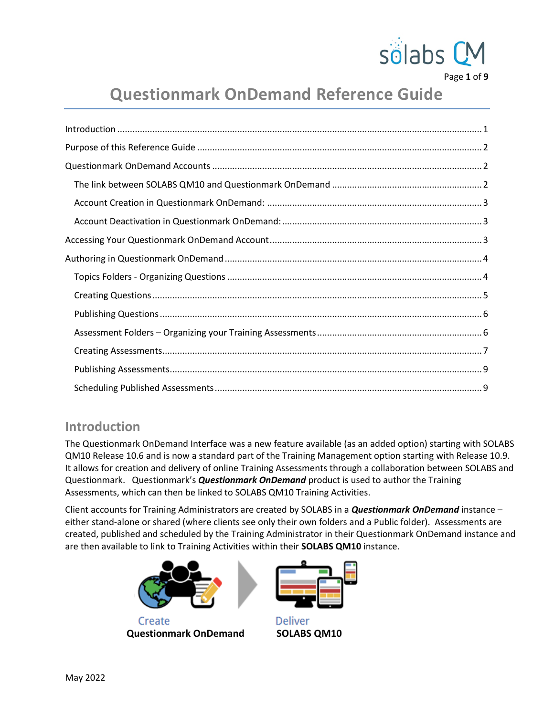

Page **1** of **9**

# **Questionmark OnDemand Reference Guide**

# <span id="page-0-0"></span>**Introduction**

The Questionmark OnDemand Interface was a new feature available (as an added option) starting with SOLABS QM10 Release 10.6 and is now a standard part of the Training Management option starting with Release 10.9. It allows for creation and delivery of online Training Assessments through a collaboration between SOLABS and Questionmark. Questionmark's *Questionmark OnDemand* product is used to author the Training Assessments, which can then be linked to SOLABS QM10 Training Activities.

Client accounts for Training Administrators are created by SOLABS in a *Questionmark OnDemand* instance – either stand-alone or shared (where clients see only their own folders and a Public folder). Assessments are created, published and scheduled by the Training Administrator in their Questionmark OnDemand instance and are then available to link to Training Activities within their **SOLABS QM10** instance.



Create **Questionmark OnDemand SOLABS QM10**



**Deliver**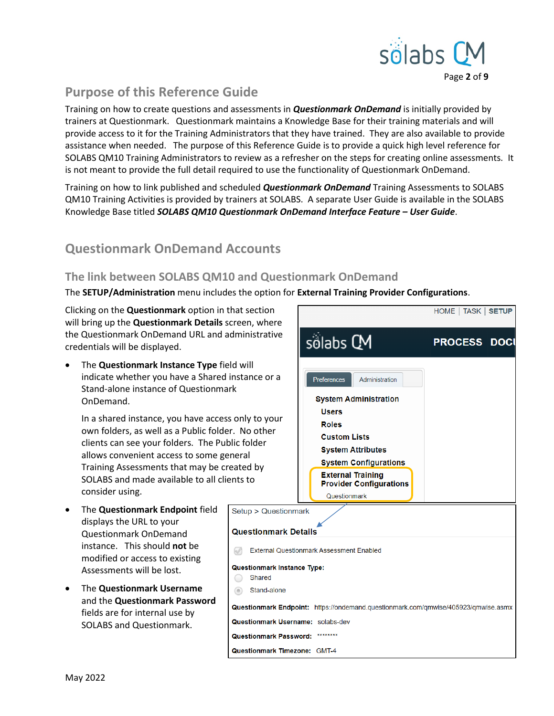

# <span id="page-1-0"></span>**Purpose of this Reference Guide**

Training on how to create questions and assessments in *Questionmark OnDemand* is initially provided by trainers at Questionmark. Questionmark maintains a Knowledge Base for their training materials and will provide access to it for the Training Administrators that they have trained. They are also available to provide assistance when needed. The purpose of this Reference Guide is to provide a quick high level reference for SOLABS QM10 Training Administrators to review as a refresher on the steps for creating online assessments. It is not meant to provide the full detail required to use the functionality of Questionmark OnDemand.

Training on how to link published and scheduled *Questionmark OnDemand* Training Assessments to SOLABS QM10 Training Activities is provided by trainers at SOLABS. A separate User Guide is available in the SOLABS Knowledge Base titled *SOLABS QM10 Questionmark OnDemand Interface Feature – User Guide*.

# <span id="page-1-1"></span>**Questionmark OnDemand Accounts**

### <span id="page-1-2"></span>**The link between SOLABS QM10 and Questionmark OnDemand**

The **SETUP/Administration** menu includes the option for **External Training Provider Configurations**.

Clicking on the **Questionmark** option in that section will bring up the **Questionmark Details** screen, where the Questionmark OnDemand URL and administrative credentials will be displayed.

• The **Questionmark Instance Type** field will indicate whether you have a Shared instance or a Stand-alone instance of Questionmark OnDemand.

In a shared instance, you have access only to your own folders, as well as a Public folder. No other clients can see your folders. The Public folder allows convenient access to some general Training Assessments that may be created by SOLABS and made available to all clients to consider using.

- The **Questionmark Endpoint** field displays the URL to your Questionmark OnDemand instance. This should **not** be modified or access to existing Assessments will be lost.
- The **Questionmark Username** and the **Questionmark Password** fields are for internal use by SOLABS and Questionmark.

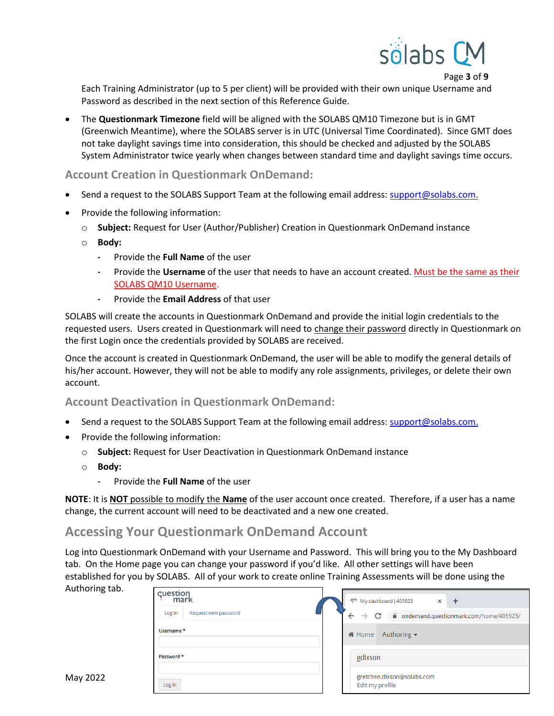

Page **3** of **9**

Each Training Administrator (up to 5 per client) will be provided with their own unique Username and Password as described in the next section of this Reference Guide.

• The **Questionmark Timezone** field will be aligned with the SOLABS QM10 Timezone but is in GMT (Greenwich Meantime), where the SOLABS server is in UTC (Universal Time Coordinated). Since GMT does not take daylight savings time into consideration, this should be checked and adjusted by the SOLABS System Administrator twice yearly when changes between standard time and daylight savings time occurs.

#### <span id="page-2-0"></span>**Account Creation in Questionmark OnDemand:**

- Send a request to the SOLABS Support Team at the following email address: [support@solabs.com.](mailto:support@solabs.com)
- Provide the following information:
	- o **Subject:** Request for User (Author/Publisher) Creation in Questionmark OnDemand instance
	- o **Body:**
		- Provide the **Full Name** of the user
		- Provide the Username of the user that needs to have an account created. Must be the same as their SOLABS QM10 Username.
		- Provide the **Email Address** of that user

SOLABS will create the accounts in Questionmark OnDemand and provide the initial login credentials to the requested users. Users created in Questionmark will need to change their password directly in Questionmark on the first Login once the credentials provided by SOLABS are received.

Once the account is created in Questionmark OnDemand, the user will be able to modify the general details of his/her account. However, they will not be able to modify any role assignments, privileges, or delete their own account.

#### <span id="page-2-1"></span>**Account Deactivation in Questionmark OnDemand:**

- Send a request to the SOLABS Support Team at the following email address: [support@solabs.com.](mailto:support@solabs.com)
- Provide the following information:
	- o **Subject:** Request for User Deactivation in Questionmark OnDemand instance
	- o **Body:**
		- Provide the **Full Name** of the user

**NOTE**: It is **NOT** possible to modify the **Name** of the user account once created. Therefore, if a user has a name change, the current account will need to be deactivated and a new one created.

### <span id="page-2-2"></span>**Accessing Your Questionmark OnDemand Account**

Log into Questionmark OnDemand with your Username and Password. This will bring you to the My Dashboard tab. On the Home page you can change your password if you'd like. All other settings will have been established for you by SOLABS. All of your work to create online Training Assessments will be done using the

| Authoring tab. |                                |                                                                                |
|----------------|--------------------------------|--------------------------------------------------------------------------------|
|                | cuestion<br>mark               | q <sup>m</sup> My dashboard   405923<br>$\times$<br>$^{+}$                     |
|                | Request new password<br>Log in | $\leftarrow$<br>C<br>■ ondemand.questionmark.com/home/405923/<br>$\rightarrow$ |
|                | Username *                     | Authoring $\sim$<br><b>备 Home</b>                                              |
|                | Password *                     | gdixson                                                                        |
| May 2022       | Log in                         | gretchen.dixson@solabs.com<br>Edit my profile                                  |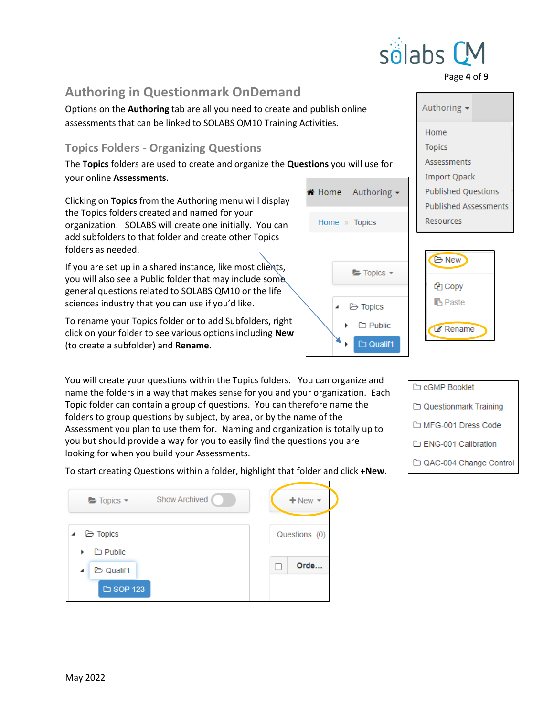# <span id="page-3-0"></span>**Authoring in Questionmark OnDemand**

Options on the **Authoring** tab are all you need to create and publish online assessments that can be linked to SOLABS QM10 Training Activities.

## <span id="page-3-1"></span>**Topics Folders - Organizing Questions**

The **Topics** folders are used to create and organize the **Questions** you will use for your online **Assessments**.

Clicking on **Topics** from the Authoring menu will display the Topics folders created and named for your organization. SOLABS will create one initially. You can add subfolders to that folder and create other Topics folders as needed.

If you are set up in a shared instance, like most clients, you will also see a Public folder that may include some general questions related to SOLABS QM10 or the life sciences industry that you can use if you'd like.

To rename your Topics folder or to add Subfolders, right click on your folder to see various options including **New** (to create a subfolder) and **Rename**.

You will create your questions within the Topics folders. You can organize and name the folders in a way that makes sense for you and your organization. Each Topic folder can contain a group of questions. You can therefore name the folders to group questions by subject, by area, or by the name of the Assessment you plan to use them for. Naming and organization is totally up to you but should provide a way for you to easily find the questions you are looking for when you build your Assessments.

To start creating Questions within a folder, highlight that folder and click **+New**.

| <b>Show Archived</b><br>Topics - | $+$ New $-$   |
|----------------------------------|---------------|
| <b>D</b> Topics                  | Questions (0) |
| $\Box$ Public<br>ь               |               |
| <b>B</b> Qualif1<br>A            | Orde          |
| □ SOP 123                        |               |



**Paste** 

**Rename** 





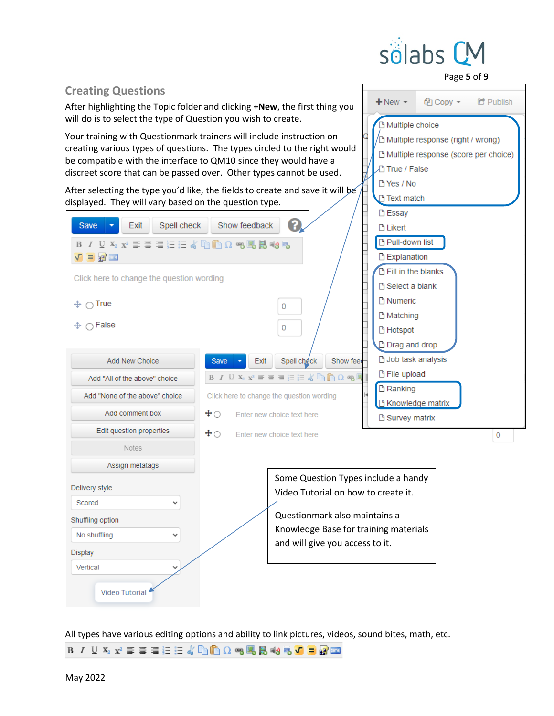

∉न Copy –

<sup>1</sup>∆ Multiple response (right / wrong) Multiple response (score per choice)

 $+$  New  $-$ 

**B** Multiple choice

**True / False** PYes / No

Page **5** of **9**

**C** Publish

<span id="page-4-0"></span>**Creating Questions**

After highlighting the Topic folder and clicking **+New**, the first thing you will do is to select the type of Question you wish to create.

Your training with Questionmark trainers will include instruction on creating various types of questions. The types circled to the right would be compatible with the interface to QM10 since they would have a discreet score that can be passed over. Other types cannot be used.

After selecting the type you'd like, the fields to create and save it will be

| displayed. They will vary based on the question type.                                                                                                                                             | $\Box$ rext match                                                                                                                                                                                                                                                                                                                                                                                                 |   |
|---------------------------------------------------------------------------------------------------------------------------------------------------------------------------------------------------|-------------------------------------------------------------------------------------------------------------------------------------------------------------------------------------------------------------------------------------------------------------------------------------------------------------------------------------------------------------------------------------------------------------------|---|
| Exit<br>Spell check<br>Save<br>ΒΙ∪¥2x2 ≣≣≣注≡≤βββΩ∞95B5∞95<br>$V = 2$<br>Click here to change the question wording<br>$\oplus \bigcirc$ True<br>$\cap$ False<br>⊕.                                 | <b>B</b> Essay<br>Show feedback<br><b>D</b> Likert<br>Pull-down list<br><b>B</b> Explanation<br>Fill in the blanks<br>□ Select a blank<br><b>P</b> Numeric<br>0<br><b>B</b> Matching<br>0<br><b>B</b> Hotspot                                                                                                                                                                                                     |   |
| Add New Choice<br>Add "All of the above" choice<br>Add "None of the above" choice<br>Add comment box<br>$\textcolor{red}{\div}\textcolor{blue}{\circ}$<br>Edit question properties<br>$\pm \circ$ | <b>De Drag and drop</b><br>□ Job task analysis<br>Exit<br>Spell check<br>Show feed<br>Save<br><b>B</b> File upload<br>B $I$ U $\mathbf{X}_2$ $\mathbf{x}^2$ $\equiv$ $\equiv$ $\equiv$ $\equiv$ $\equiv$ $\mathbf{x}$ $\mathbb{D}_1 \mathbb{D}_2 \Omega$ $\mathbf{e}_3$ !<br><b>B</b> Ranking<br>Click here to change the question wording<br>□ Knowledge matrix<br>Enter new choice text here<br>□ Survey matrix |   |
| <b>Notes</b><br>Assign metatags<br>Delivery style<br>Scored<br>Shuffling option<br>No shuffling<br>Display<br>Vertical<br>Video Tutorial                                                          | Enter new choice text here<br>Some Question Types include a handy<br>Video Tutorial on how to create it.<br>Questionmark also maintains a<br>Knowledge Base for training materials<br>and will give you access to it.                                                                                                                                                                                             | 0 |

All types have various editing options and ability to link pictures, videos, sound bites, math, etc.

B / U X2 x2 三三三三(hhhhΩ €BB +8 5 V = 2 =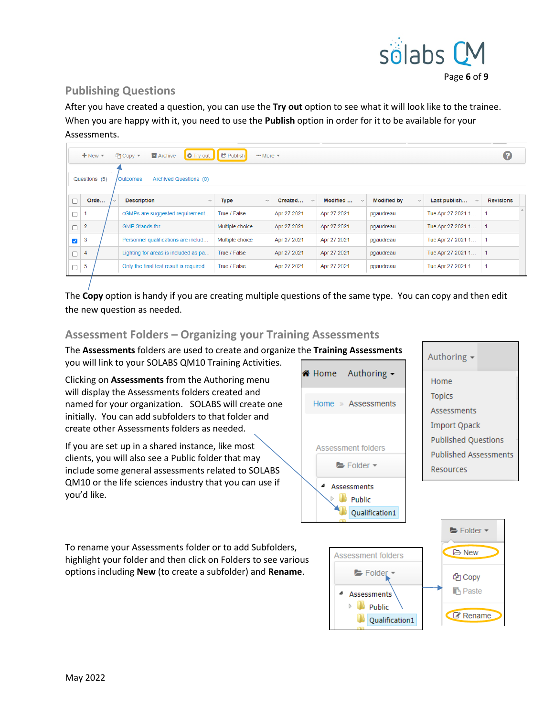

### <span id="page-5-0"></span>**Publishing Questions**

After you have created a question, you can use the **Try out** option to see what it will look like to the trainee. When you are happy with it, you need to use the **Publish** option in order for it to be available for your Assessments.

|                      | $\bullet$<br><b>C</b> Publish<br>O Try out<br><b><i><u></u></i></b> Copy ▼<br><b>E</b> Archive<br>$+$ New $-$<br>$\cdots$ More $\sim$ |  |  |                                        |                      |                         |                          |                                    |                   |                  |  |
|----------------------|---------------------------------------------------------------------------------------------------------------------------------------|--|--|----------------------------------------|----------------------|-------------------------|--------------------------|------------------------------------|-------------------|------------------|--|
|                      | Questions (5)                                                                                                                         |  |  | Archived Questions (0)<br>/Outcomes    |                      |                         |                          |                                    |                   |                  |  |
|                      | Orde                                                                                                                                  |  |  | <b>Description</b><br>$\checkmark$     | Type<br>$\checkmark$ | Created<br>$\checkmark$ | Modified<br>$\checkmark$ | <b>Modified by</b><br>$\checkmark$ | Last publish      | <b>Revisions</b> |  |
|                      |                                                                                                                                       |  |  | cGMPs are suggested requirement        | True / False         | Apr 27 2021             | Apr 27 2021              | pgaudreau                          | Tue Apr 27 2021 1 |                  |  |
|                      | $\overline{2}$                                                                                                                        |  |  | <b>GMP Stands for</b>                  | Multiple choice      | Apr 27 2021             | Apr 27 2021              | pgaudreau                          | Tue Apr 27 2021 1 | 1                |  |
| $\blacktriangledown$ | 3                                                                                                                                     |  |  | Personnel qualifications are includ    | Multiple choice      | Apr 27 2021             | Apr 27 2021              | pgaudreau                          | Tue Apr 27 2021 1 |                  |  |
|                      | 4                                                                                                                                     |  |  | Lighting for areas is included as pa   | True / False         | Apr 27 2021             | Apr 27 2021              | pgaudreau                          | Tue Apr 27 2021 1 |                  |  |
|                      | 5                                                                                                                                     |  |  | Only the final test result is required | True / False         | Apr 27 2021             | Apr 27 2021              | pgaudreau                          | Tue Apr 27 2021 1 |                  |  |

The **Copy** option is handy if you are creating multiple questions of the same type. You can copy and then edit the new question as needed.

### <span id="page-5-1"></span>**Assessment Folders – Organizing your Training Assessments**

The **Assessments** folders are used to create and organize the **Training Assessments** you will link to your SOLABS QM10 Training Activities.

Clicking on **Assessments** from the Authoring menu will display the Assessments folders created and named for your organization. SOLABS will create one initially. You can add subfolders to that folder and create other Assessments folders as needed.

If you are set up in a shared instance, like most clients, you will also see a Public folder that may include some general assessments related to SOLABS QM10 or the life sciences industry that you can use if you'd like.

Authoring -K<sup>¥</sup> Home Home » Assessments Assessment folders Folder -4 Assessments **Public** Qualification1

| Authoring<br>$\overline{\phantom{a}}$ |
|---------------------------------------|
| Home                                  |
| <b>Topics</b>                         |
| <b>Assessments</b>                    |
| Import Qpack                          |
| <b>Published Questions</b>            |
| <b>Published Assessments</b>          |
| Resources                             |
|                                       |

 $\blacktriangleright$  Folder  $\blacktriangleright$ 

**B** New

<sup>他</sup>Copy **B** Paste

**&** Rename

To rename your Assessments folder or to add Subfolders, highlight your folder and then click on Folders to see various options including **New** (to create a subfolder) and **Rename**.

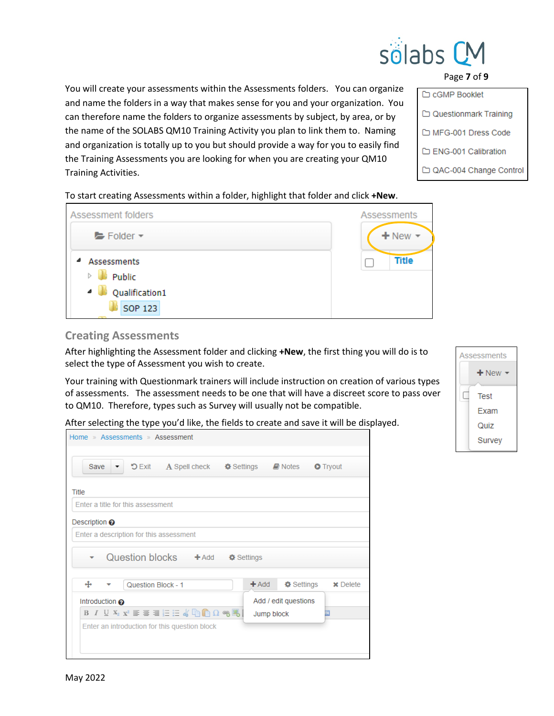

Page **7** of **9**

You will create your assessments within the Assessments folders. You can organize and name the folders in a way that makes sense for you and your organization. You can therefore name the folders to organize assessments by subject, by area, or by the name of the SOLABS QM10 Training Activity you plan to link them to. Naming and organization is totally up to you but should provide a way for you to easily find the Training Assessments you are looking for when you are creating your QM10 Training Activities.

To start creating Assessments within a folder, highlight that folder and click **+New**.

| Assessment folders                                 | <b>Assessments</b> |
|----------------------------------------------------|--------------------|
| $\blacktriangleright$ Folder $\blacktriangleright$ | $+$ New $-$        |
| Assessments<br>₫                                   | <b>Title</b>       |
| Public                                             |                    |
| Qualification1                                     |                    |
| <b>SOP 123</b>                                     |                    |

### <span id="page-6-0"></span>**Creating Assessments**

After highlighting the Assessment folder and clicking **+New**, the first thing you will do is to select the type of Assessment you wish to create.

Your training with Questionmark trainers will include instruction on creation of various types of assessments. The assessment needs to be one that will have a discreet score to pass over to QM10. Therefore, types such as Survey will usually not be compatible.

After selecting the type you'd like, the fields to create and save it will be displayed.

| Home » Assessments » Assessment                                                                         |                                          |
|---------------------------------------------------------------------------------------------------------|------------------------------------------|
|                                                                                                         |                                          |
| "DExit A Spell check $\dagger$ Settings <i>D</i> Notes<br>Save<br>$\blacktriangledown$                  | <b>O</b> Tryout                          |
| Title                                                                                                   |                                          |
| Enter a title for this assessment                                                                       |                                          |
| Description $\odot$                                                                                     |                                          |
| Enter a description for this assessment                                                                 |                                          |
| Question blocks + Add<br><b><math>\Phi</math></b> Settings                                              |                                          |
|                                                                                                         |                                          |
| ⊕<br>Question Block - 1                                                                                 | $+$ Add<br>✿ Settings<br><b>×</b> Delete |
| Introduction $\boldsymbol{\Theta}$                                                                      | Add / edit questions                     |
| <b>B</b> $I$ U $X_2$ $X_2$ $\equiv$ $\equiv$ $\equiv$ $\equiv$ $K$ the $\cap$ $\cap$ $\in$ $\mathbb{R}$ | Jump block                               |
| Enter an introduction for this question block                                                           |                                          |
|                                                                                                         |                                          |
|                                                                                                         |                                          |



| Assessments |         |  |
|-------------|---------|--|
|             | $+$ New |  |
|             | Test    |  |
|             | Exam    |  |
|             | Quiz    |  |
|             | Survey  |  |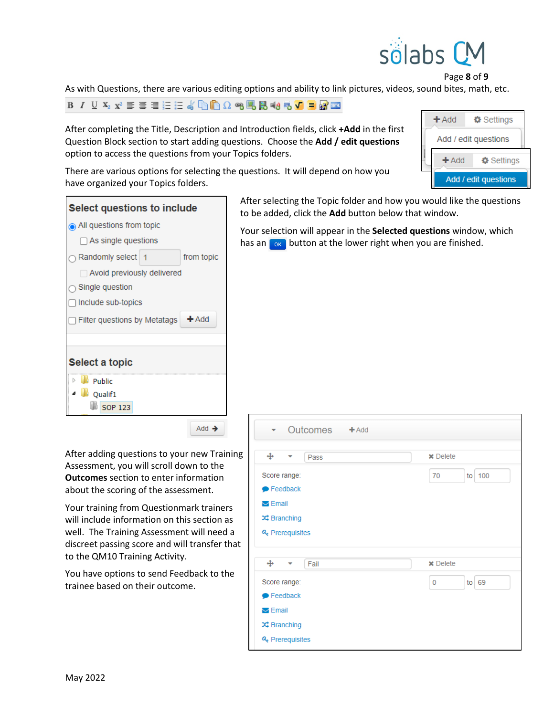

Page **8** of **9**

As with Questions, there are various editing options and ability to link pictures, videos, sound bites, math, etc.

**ΒΙ** <u>V</u> X2 ¥ W W W W W W W W W W W W Y D G W W

After completing the Title, Description and Introduction fields, click **+Add** in the first Question Block section to start adding questions. Choose the **Add / edit questions** option to access the questions from your Topics folders.

There are various options for selecting the questions. It will depend on how you

| $+$ Add              | <b><math>\Phi</math></b> Settings |  |
|----------------------|-----------------------------------|--|
| Add / edit questions |                                   |  |
| $+$ Add              | <b><math>\Phi</math></b> Settings |  |
|                      | Add / edit questions              |  |

have organized your Topics folders.  $\mathbf{A}$  and  $\mathbf{A}$  and  $\mathbf{A}$  and  $\mathbf{A}$ 

| Select questions to include  |                |            |
|------------------------------|----------------|------------|
| All questions from topic     |                |            |
| $\Box$ As single questions   |                |            |
| ่า Randomly select           | $\overline{1}$ | from topic |
| Avoid previously delivered   |                |            |
| Single question              |                |            |
| Include sub-topics           |                |            |
| Filter questions by Metatags |                | $+$ Add    |
|                              |                |            |
| Select a topic               |                |            |
| <b>Public</b>                |                |            |
| Oualif1                      |                |            |
| <b>SOP 123</b>               |                |            |
|                              |                |            |

Add  $\rightarrow$ 

After adding questions to your new Training Assessment, you will scroll down to the **Outcomes** section to enter information about the scoring of the assessment.

Your training from Questionmark trainers will include information on this section as well. The Training Assessment will need a discreet passing score and will transfer that to the QM10 Training Activity.

You have options to send Feedback to the trainee based on their outcome.

After selecting the Topic folder and how you would like the questions to be added, click the **Add** button below that window.

Your selection will appear in the **Selected questions** window, which has an  $\log$  button at the lower right when you are finished.

| Outcomes + Add<br>$\mathbf{v}$                                                                                    |                        |
|-------------------------------------------------------------------------------------------------------------------|------------------------|
| $\ddot{\mathrm{H}}$<br>Pass<br>▼                                                                                  | <b>x</b> Delete        |
| Score range:<br>$\blacktriangleright$ Feedback<br>$\triangleright$ Email<br><b>Ⅰ</b> Branching<br>& Prerequisites | to 100<br>70           |
| ⊕<br>Fail<br>٠                                                                                                    | <b>x</b> Delete        |
| Score range:<br>$\blacktriangleright$ Feedback<br>$\triangleright$ Email<br><b>Ⅰ</b> Branching<br>& Prerequisites | $to$ 69<br>$\mathbf 0$ |